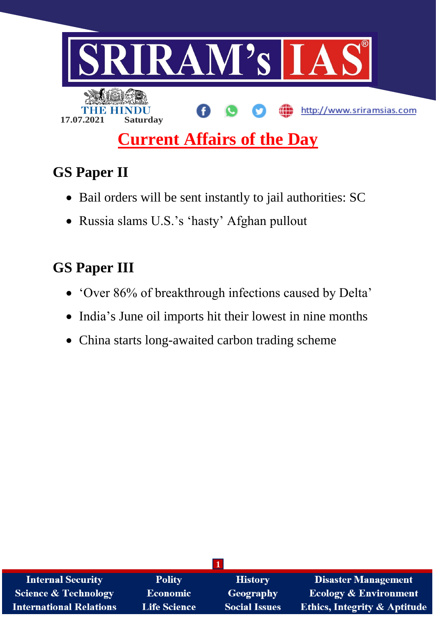

# **GS Paper II**

- Bail orders will be sent instantly to jail authorities: SC
- Russia slams U.S.'s 'hasty' Afghan pullout

# **GS Paper III**

- 'Over 86% of breakthrough infections caused by Delta'
- India's June oil imports hit their lowest in nine months
- China starts long-awaited carbon trading scheme

| <b>Internal Security</b>        | <b>Polity</b>       | <b>History</b>       | <b>Disaster Management</b>              |
|---------------------------------|---------------------|----------------------|-----------------------------------------|
| <b>Science &amp; Technology</b> | <b>Economic</b>     | <b>Geography</b>     | <b>Ecology &amp; Environment</b>        |
| <b>International Relations</b>  | <b>Life Science</b> | <b>Social Issues</b> | <b>Ethics, Integrity &amp; Aptitude</b> |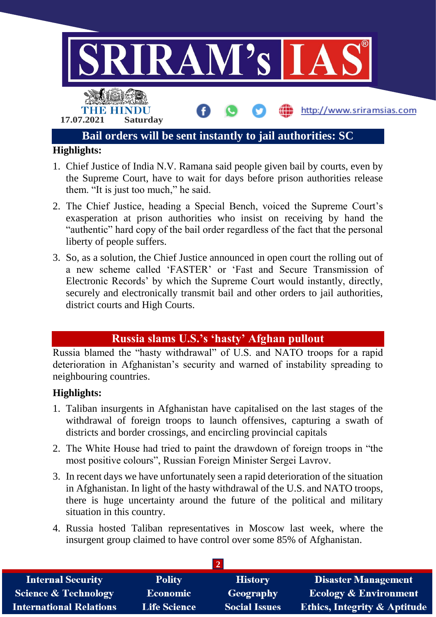

- the Supreme Court, have to wait for days before prison authorities release them. "It is just too much," he said.
- 2. The Chief Justice, heading a Special Bench, voiced the Supreme Court's exasperation at prison authorities who insist on receiving by hand the "authentic" hard copy of the bail order regardless of the fact that the personal liberty of people suffers.
- 3. So, as a solution, the Chief Justice announced in open court the rolling out of a new scheme called 'FASTER' or 'Fast and Secure Transmission of Electronic Records' by which the Supreme Court would instantly, directly, securely and electronically transmit bail and other orders to jail authorities, district courts and High Courts.

# **Russia slams U.S.'s 'hasty' Afghan pullout**

Russia blamed the "hasty withdrawal" of U.S. and NATO troops for a rapid deterioration in Afghanistan's security and warned of instability spreading to neighbouring countries.

# **Highlights:**

- 1. Taliban insurgents in Afghanistan have capitalised on the last stages of the withdrawal of foreign troops to launch offensives, capturing a swath of districts and border crossings, and encircling provincial capitals
- 2. The White House had tried to paint the drawdown of foreign troops in "the most positive colours", Russian Foreign Minister Sergei Lavrov.
- 3. In recent days we have unfortunately seen a rapid deterioration of the situation in Afghanistan. In light of the hasty withdrawal of the U.S. and NATO troops, there is huge uncertainty around the future of the political and military situation in this country.
- 4. Russia hosted Taliban representatives in Moscow last week, where the insurgent group claimed to have control over some 85% of Afghanistan.

| <b>Internal Security</b>        | <b>Polity</b>       | <b>History</b>       | <b>Disaster Management</b>              |  |  |  |
|---------------------------------|---------------------|----------------------|-----------------------------------------|--|--|--|
| <b>Science &amp; Technology</b> | Economic            | Geography            | <b>Ecology &amp; Environment</b>        |  |  |  |
| <b>International Relations</b>  | <b>Life Science</b> | <b>Social Issues</b> | <b>Ethics, Integrity &amp; Aptitude</b> |  |  |  |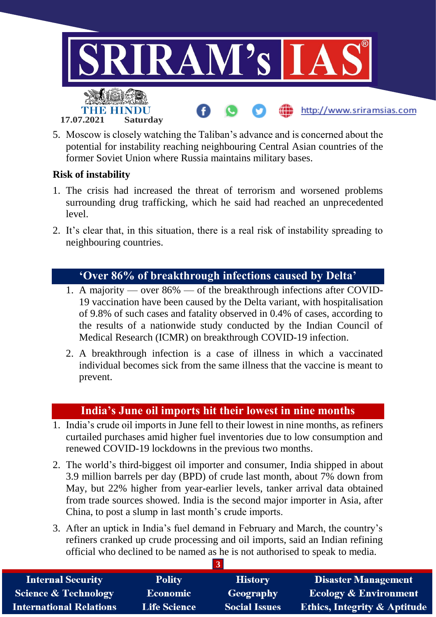

5. Moscow is closely watching the Taliban's advance and is concerned about the potential for instability reaching neighbouring Central Asian countries of the former Soviet Union where Russia maintains military bases.

#### **Risk of instability**

- 1. The crisis had increased the threat of terrorism and worsened problems surrounding drug trafficking, which he said had reached an unprecedented level.
- 2. It's clear that, in this situation, there is a real risk of instability spreading to neighbouring countries.

#### **'Over 86% of breakthrough infections caused by Delta'**

- 1. A majority over 86% of the breakthrough infections after COVID-19 vaccination have been caused by the Delta variant, with hospitalisation of 9.8% of such cases and fatality observed in 0.4% of cases, according to the results of a nationwide study conducted by the Indian Council of Medical Research (ICMR) on breakthrough COVID-19 infection.
- 2. A breakthrough infection is a case of illness in which a vaccinated individual becomes sick from the same illness that the vaccine is meant to prevent.

# **India's June oil imports hit their lowest in nine months**

- 1. India's crude oil imports in June fell to their lowest in nine months, as refiners curtailed purchases amid higher fuel inventories due to low consumption and renewed COVID-19 lockdowns in the previous two months.
- 2. The world's third-biggest oil importer and consumer, India shipped in about 3.9 million barrels per day (BPD) of crude last month, about 7% down from May, but 22% higher from year-earlier levels, tanker arrival data obtained from trade sources showed. India is the second major importer in Asia, after China, to post a slump in last month's crude imports.
- 3. After an uptick in India's fuel demand in February and March, the country's refiners cranked up crude processing and oil imports, said an Indian refining official who declined to be named as he is not authorised to speak to media.

| <b>Internal Security</b>        | <b>Polity</b>       | <b>History</b>       | <b>Disaster Management</b>              |  |  |
|---------------------------------|---------------------|----------------------|-----------------------------------------|--|--|
| <b>Science &amp; Technology</b> | Economic            | Geography            | <b>Ecology &amp; Environment</b>        |  |  |
| <b>International Relations</b>  | <b>Life Science</b> | <b>Social Issues</b> | <b>Ethics, Integrity &amp; Aptitude</b> |  |  |